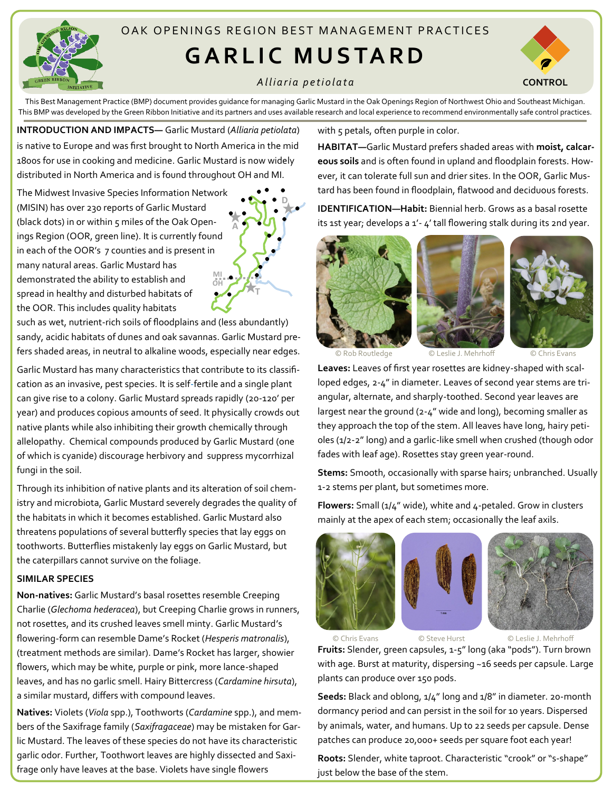

# OAK OPENINGS REGION BEST MANAGEMENT PRACTICES

# **GARLIC MUSTARD**

## *A l l i a r i a p e t i o l a t a*



This Best Management Practice (BMP) document provides guidance for managing Garlic Mustard in the Oak Openings Region of Northwest Ohio and Southeast Michigan. This BMP was developed by the Green Ribbon Initiative and its partners and uses available research and local experience to recommend environmentally safe control practices.

**INTRODUCTION AND IMPACTS—** Garlic Mustard (*Alliaria petiolata*) is native to Europe and was first brought to North America in the mid 1800s for use in cooking and medicine. Garlic Mustard is now widely distributed in North America and is found throughout OH and MI.

The Midwest Invasive Species Information Network (MISIN) has over 230 reports of Garlic Mustard (black dots) in or within 5 miles of the Oak Openings Region (OOR, green line). It is currently found in each of the OOR's 7 counties and is present in many natural areas. Garlic Mustard has demonstrated the ability to establish and spread in healthy and disturbed habitats of the OOR. This includes quality habitats **OH MI**

**A D T**

such as wet, nutrient-rich soils of floodplains and (less abundantly) sandy, acidic habitats of dunes and oak savannas. Garlic Mustard prefers shaded areas, in neutral to alkaline woods, especially near edges.

Garlic Mustard has many characteristics that contribute to its classification as an invasive, pest species. It is self-fertile and a single plant can give rise to a colony. Garlic Mustard spreads rapidly (20-120' per year) and produces copious amounts of seed. It physically crowds out native plants while also inhibiting their growth chemically through allelopathy. Chemical compounds produced by Garlic Mustard (one of which is cyanide) discourage herbivory and suppress mycorrhizal fungi in the soil.

Through its inhibition of native plants and its alteration of soil chemistry and microbiota, Garlic Mustard severely degrades the quality of the habitats in which it becomes established. Garlic Mustard also threatens populations of several butterfly species that lay eggs on toothworts. Butterflies mistakenly lay eggs on Garlic Mustard, but the caterpillars cannot survive on the foliage.

### **SIMILAR SPECIES**

**Non-natives:** Garlic Mustard's basal rosettes resemble Creeping Charlie (*Glechoma hederacea*), but Creeping Charlie grows in runners, not rosettes, and its crushed leaves smell minty. Garlic Mustard's flowering-form can resemble Dame's Rocket (*Hesperis matronalis*), (treatment methods are similar). Dame's Rocket has larger, showier flowers, which may be white, purple or pink, more lance-shaped leaves, and has no garlic smell. Hairy Bittercress (*Cardamine hirsuta*), a similar mustard, differs with compound leaves.

**Natives:** Violets (*Viola* spp.), Toothworts (*Cardamine* spp.), and members of the Saxifrage family (*Saxifragaceae*) may be mistaken for Garlic Mustard. The leaves of these species do not have its characteristic garlic odor. Further, Toothwort leaves are highly dissected and Saxifrage only have leaves at the base. Violets have single flowers

with 5 petals, often purple in color.

**HABITAT—**Garlic Mustard prefers shaded areas with **moist, calcareous soils** and is often found in upland and floodplain forests. However, it can tolerate full sun and drier sites. In the OOR, Garlic Mustard has been found in floodplain, flatwood and deciduous forests.

**IDENTIFICATION—Habit:** Biennial herb. Grows as a basal rosette its 1st year; develops a 1'- 4' tall flowering stalk during its 2nd year.







**Leaves:** Leaves of first year rosettes are kidney-shaped with scalloped edges, 2-4" in diameter. Leaves of second year stems are triangular, alternate, and sharply-toothed. Second year leaves are largest near the ground (2-4" wide and long), becoming smaller as they approach the top of the stem. All leaves have long, hairy petioles (1/2-2" long) and a garlic-like smell when crushed (though odor fades with leaf age). Rosettes stay green year-round.

**Stems:** Smooth, occasionally with sparse hairs; unbranched. Usually 1-2 stems per plant, but sometimes more.

**Flowers:** Small (1/4" wide), white and 4-petaled. Grow in clusters mainly at the apex of each stem; occasionally the leaf axils.



© Chris Evans © Steve Hurst © Leslie J. Mehrhoff

**Fruits:** Slender, green capsules, 1-5" long (aka "pods"). Turn brown with age. Burst at maturity, dispersing ~16 seeds per capsule. Large plants can produce over 150 pods.

**Seeds:** Black and oblong, 1/4" long and 1/8" in diameter. 20-month dormancy period and can persist in the soil for 10 years. Dispersed by animals, water, and humans. Up to 22 seeds per capsule. Dense patches can produce 20,000+ seeds per square foot each year!

**Roots:** Slender, white taproot. Characteristic "crook" or "s-shape" just below the base of the stem.